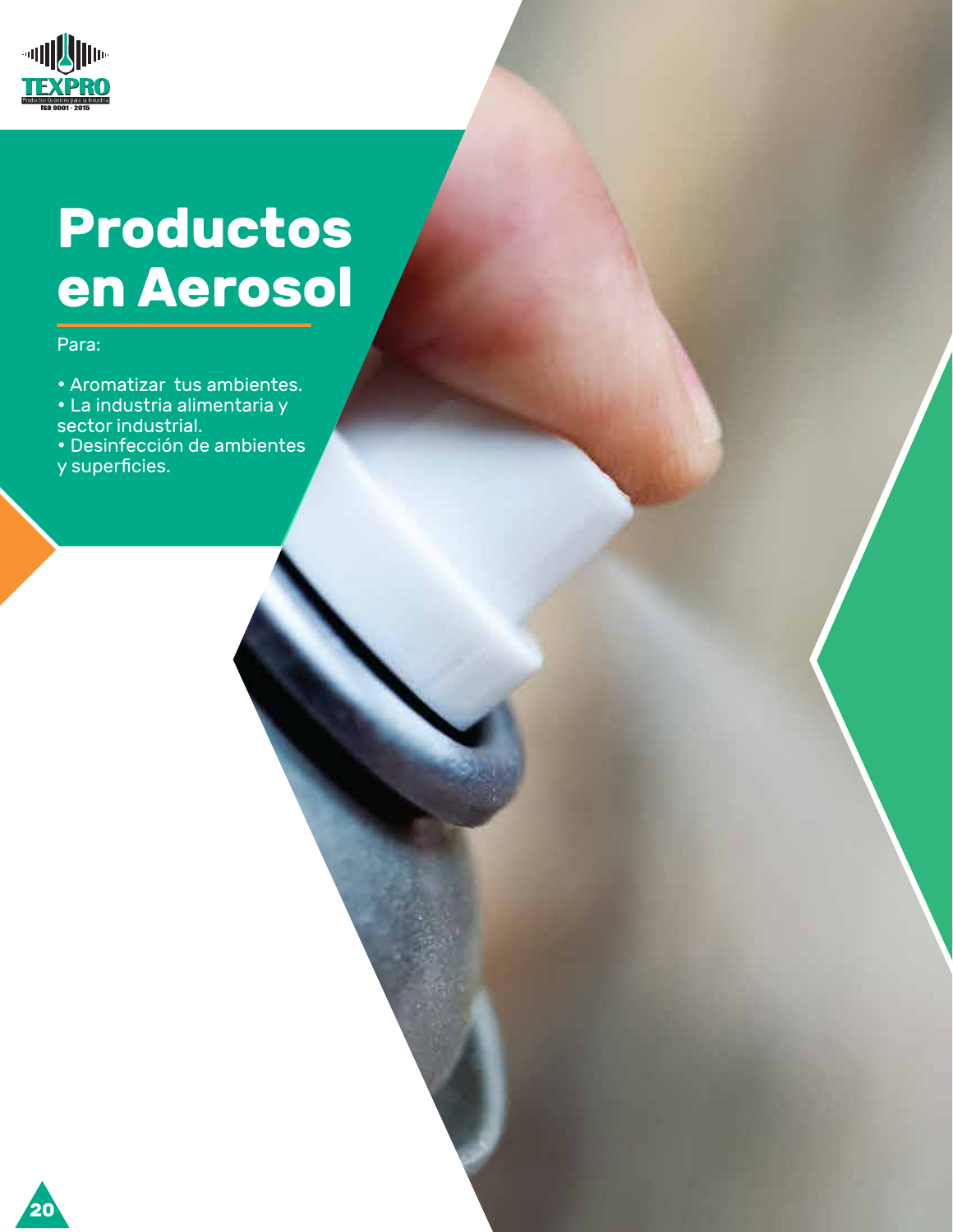

# **Productos en Aerosol**

#### Para:

• Aromatizar tus ambientes. • La industria alimentaria y sector industrial.

• Desinfección de ambientes y superficies.

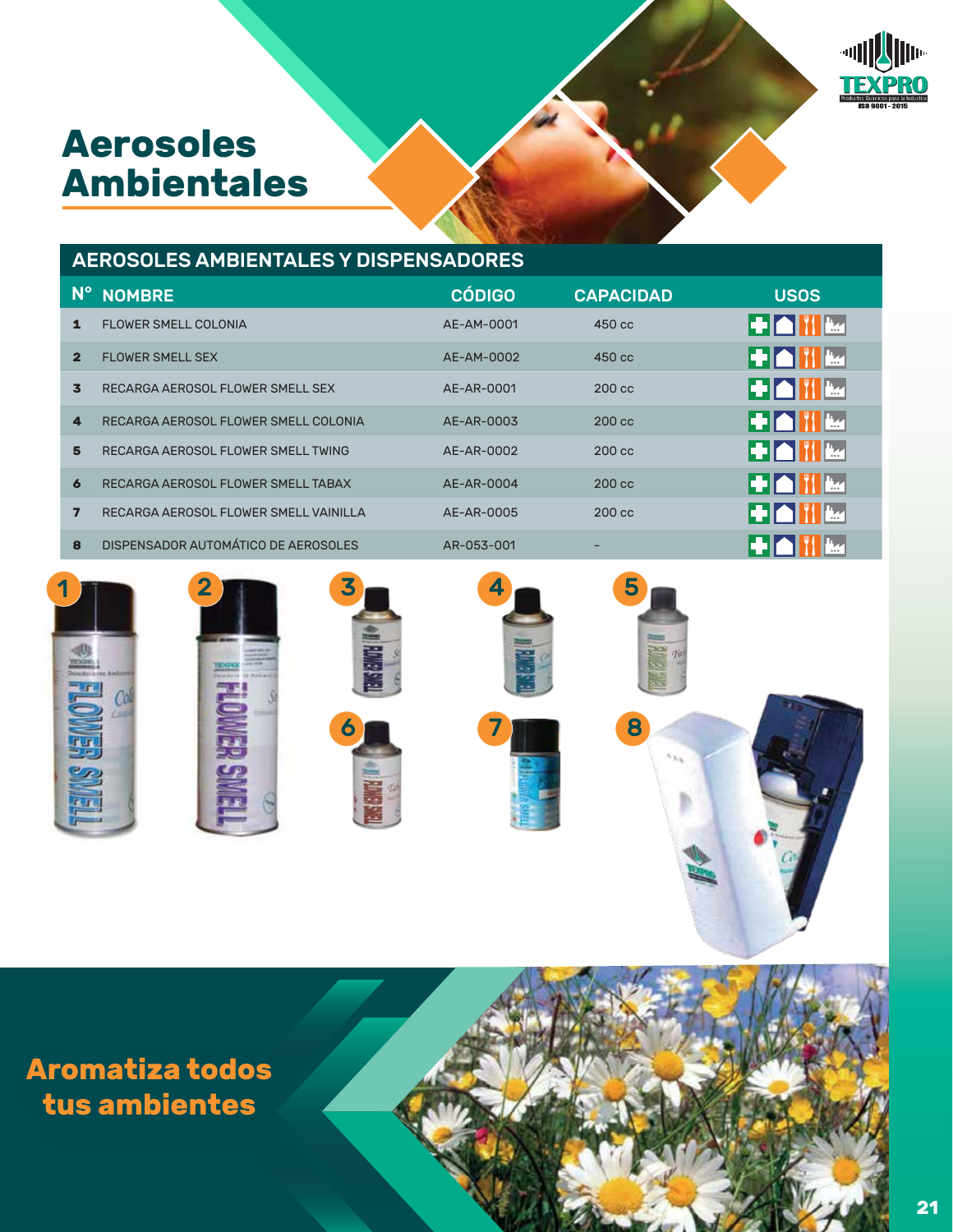# **Aerosoles Ambientales**



### AEROSOLES AMBIENTALES Y DISPENSADORES

| $N^{\circ}$    | <b>NOMBRE</b>                         | <b>CÓDIGO</b> | <b>CAPACIDAD</b> | <b>USOS</b>         |
|----------------|---------------------------------------|---------------|------------------|---------------------|
| 1              | <b>FLOWER SMELL COLONIA</b>           | AE-AM-0001    | 450 cc           | ▍▜▘▎▆▖▎▘▏▏▓▟▟▏      |
| $\overline{2}$ | <b>FLOWER SMELL SEX</b>               | AE-AM-0002    | $450 \text{ cc}$ | ▍▜▘▎▆▖▎▘▎▐▅▖        |
| 3              | RECARGA AEROSOL FLOWER SMELL SEX      | AE-AR-0001    | $200 \text{ cc}$ | ▎▜▘▎▆▖▏▓▕▕▙▅▏       |
| 4              | RECARGA AEROSOL FLOWER SMELL COLONIA  | AE-AR-0003    | $200 \text{ cc}$ | ▎▜▘▎▆▖▎▓▕▕▙▄▏       |
| 5              | RECARGA AEROSOL FLOWER SMELL TWING    | AE-AR-0002    | $200 \text{ cc}$ | ▍▜▘▎▆▖▎▏▏▏▐▅▖▏      |
| 6              | RECARGA AEROSOL FLOWER SMELL TABAX    | AE-AR-0004    | $200 \text{ cc}$ | I THE REAL THE REAL |
| 7              | RECARGA AEROSOL FLOWER SMELL VAINILLA | AE-AR-0005    | $200 \text{ cc}$ | I THE LET'L HAS     |
| R              | DISPENSADOR AUTOMÁTICO DE AEROSOLES   | AR-053-001    |                  |                     |













**Aromatiza todos tus ambientes**

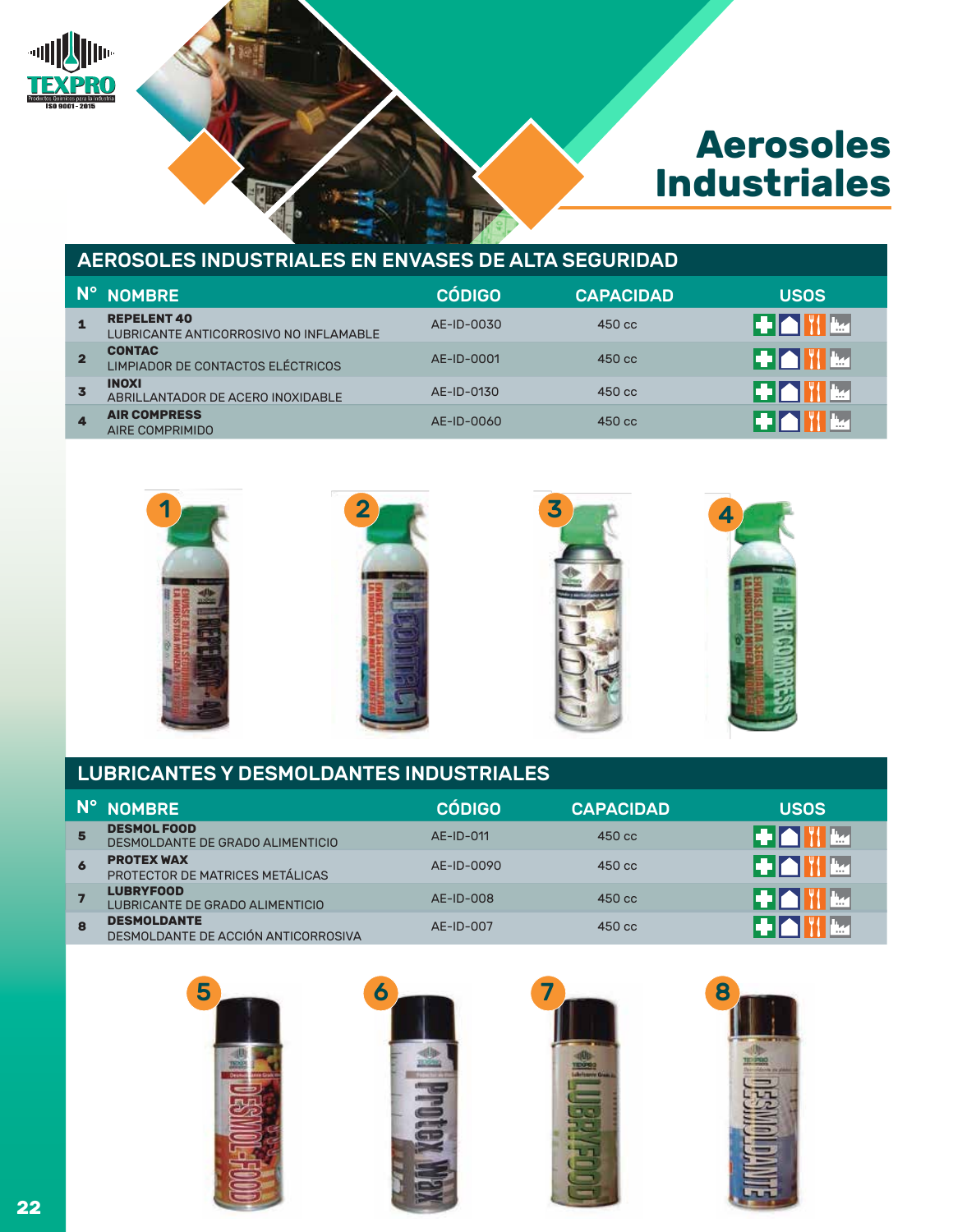

# **Aerosoles Industriales**

#### AEROSOLES INDUSTRIALES EN ENVASES DE ALTA SEGURIDAD

| N°.                     | <b>NOMBRE</b>                                                | <b>CÓDIGO</b> | <b>CAPACIDAD</b> | <b>USOS</b>  |
|-------------------------|--------------------------------------------------------------|---------------|------------------|--------------|
|                         | <b>REPELENT 40</b><br>LUBRICANTE ANTICORROSIVO NO INFLAMABLE | AE-ID-0030    | $450 \text{ cc}$ | ▌▀▛▌▆▊▓▓▊▓▓  |
|                         | <b>CONTAC</b><br>LIMPIADOR DE CONTACTOS ELÉCTRICOS           | AE-ID-0001    | $450 \text{ cc}$ | ▌▜▘▍▆▕▏▓▐▕▙▅ |
| $\overline{\mathbf{3}}$ | <b>INOXI</b><br>ABRILLANTADOR DE ACERO INOXIDABLE            | AE-ID-0130    | $450 \text{ cc}$ |              |
| $\overline{\mathbf{A}}$ | <b>AIR COMPRESS</b><br>AIRE COMPRIMIDO                       | AE-ID-0060    | $450 \text{ cc}$ |              |



#### LUBRICANTES Y DESMOLDANTES INDUSTRIALES

|                     | N° NOMBRE                                                 | <b>CÓDIGO</b> | <b>CAPACIDAD</b> | <b>USOS</b> |
|---------------------|-----------------------------------------------------------|---------------|------------------|-------------|
| $5\phantom{1}$      | <b>DESMOL FOOD</b><br>DESMOLDANTE DE GRADO ALIMENTICIO    | AE-ID-011     | $450 \text{ cc}$ | EHAL        |
| $\ddot{\mathbf{6}}$ | <b>PROTEX WAX</b><br>PROTECTOR DE MATRICES METÁLICAS      | AE-ID-0090    | $450 \text{ cc}$ |             |
|                     | <b>LUBRYFOOD</b><br>LUBRICANTE DE GRADO ALIMENTICIO       | AE-ID-008     | $450 \text{ cc}$ |             |
| 8                   | <b>DESMOLDANTE</b><br>DESMOLDANTE DE ACCIÓN ANTICORROSIVA | AE-ID-007     | $450 \text{ cc}$ |             |